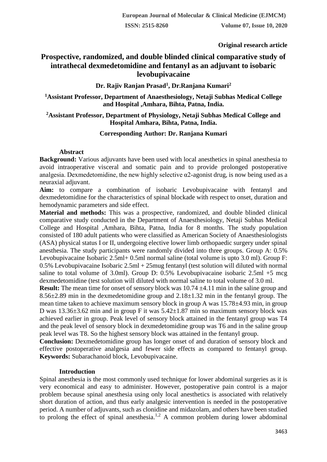**Original research article** 

# **Prospective, randomized, and double blinded clinical comparative study of intrathecal dexmedetomidine and fentanyl as an adjuvant to isobaric levobupivacaine**

**Dr. Rajiv Ranjan Prasad<sup>1</sup> , Dr.Ranjana Kumari<sup>2</sup>**

**<sup>1</sup>Assistant Professor, Department of Anaesthesiology, Netaji Subhas Medical College and Hospital ,Amhara, Bihta, Patna, India.**

# **<sup>2</sup>Assistant Professor, Department of Physiology, Netaji Subhas Medical College and Hospital Amhara, Bihta, Patna, India.**

# **Corresponding Author: Dr. Ranjana Kumari**

# **Abstract**

**Background:** Various adjuvants have been used with local anesthetics in spinal anesthesia to avoid intraoperative visceral and somatic pain and to provide prolonged postoperative analgesia. Dexmedetomidine, the new highly selective  $\alpha$ 2-agonist drug, is now being used as a neuraxial adjuvant.

**Aim:** to compare a combination of isobaric Levobupivacaine with fentanyl and dexmedetomidine for the characteristics of spinal blockade with respect to onset, duration and hemodynamic parameters and side effect.

**Material and methods:** This was a prospective, randomized, and double blinded clinical comparative study conducted in the Department of Anaesthesiology, Netaji Subhas Medical College and Hospital ,Amhara, Bihta, Patna, India for 8 months. The study population consisted of 180 adult patients who were classified as American Society of Anaesthesiologists (ASA) physical status I or II, undergoing elective lower limb orthopaedic surgery under spinal anesthesia. The study participants were randomly divided into three groups. Group A: 0.5% Levobupivacaine Isobaric 2.5ml+ 0.5ml normal saline (total volume is upto 3.0 ml). Group F: 0.5% Levobupivacaine Isobaric 2.5ml + 25mug fentanyl (test solution will diluted with normal saline to total volume of 3.0ml). Group D:  $0.5\%$  Levobupivacaine isobaric 2.5ml +5 mcg dexmedetomidine (test solution will diluted with normal saline to total volume of 3.0 ml.

**Result:** The mean time for onset of sensory block was 10.74  $\pm$ 4.11 min in the saline group and  $8.56\pm2.89$  min in the dexmedetomidine group and  $2.18\pm1.32$  min in the fentanyl group. The mean time taken to achieve maximum sensory block in group A was 15.78±4.93 min, in group D was 13.36±3.62 min and in group F it was 5.42±1.87 min so maximum sensory block was achieved earlier in group. Peak level of sensory block attained in the fentanyl group was T4 and the peak level of sensory block in dexmedetomidine group was T6 and in the saline group peak level was T8. So the highest sensory block was attained in the fentanyl group.

**Conclusion:** Dexmedetomidine group has longer onset of and duration of sensory block and effective postoperative analgesia and fewer side effects as compared to fentanyl group. **Keywords:** Subarachanoid block, Levobupivacaine.

# **Introduction**

Spinal anesthesia is the most commonly used technique for lower abdominal surgeries as it is very economical and easy to administer. However, postoperative pain control is a major problem because spinal anesthesia using only local anesthetics is associated with relatively short duration of action, and thus early analgesic intervention is needed in the postoperative period. A number of adjuvants, such as clonidine and midazolam, and others have been studied to prolong the effect of spinal anesthesia.<sup>1,2</sup> A common problem during lower abdominal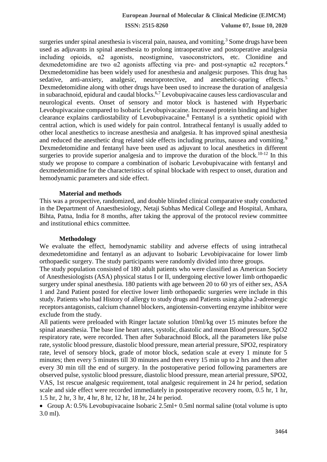**ISSN: 2515-8260 Volume 07, Issue 10, 2020**

surgeries under spinal anesthesia is visceral pain, nausea, and vomiting.<sup>3</sup> Some drugs have been used as adjuvants in spinal anesthesia to prolong intraoperative and postoperative analgesia including opioids, α2 agonists, neostigmine, vasoconstrictors, etc. Clonidine and dexmedetomidine are two  $\alpha$ 2 agonists affecting via pre- and post-synaptic  $\alpha$ 2 receptors.<sup>4</sup> Dexmedetomidine has been widely used for anesthesia and analgesic purposes. This drug has sedative, anti-anxiety, analgesic, neuroprotective, and anesthetic-sparing effects.<sup>5</sup> Dexmedetomidine along with other drugs have been used to increase the duration of analgesia in subarachnoid, epidural and caudal blocks.<sup>6,7</sup> Levobupivacaine causes less cardiovascular and neurological events. Onset of sensory and motor block is hastened with Hyperbaric Levobupivacaine compared to Isobaric Levobupivacaine. Increased protein binding and higher clearance explains cardiostability of Levobupivacaine.<sup>8</sup> Fentanyl is a synthetic opioid with central action, which is used widely for pain control. Intrathecal fentanyl is usually added to other local anesthetics to increase anesthesia and analgesia. It has improved spinal anesthesia and reduced the anesthetic drug related side effects including pruritus, nausea and vomiting.<sup>9</sup> Dexmedetomidine and fentanyl have been used as adjuvant to local anesthetics in different surgeries to provide superior analgesia and to improve the duration of the block.<sup>10-12</sup> In this study we propose to compare a combination of isobaric Levobupivacaine with fentanyl and dexmedetomidine for the characteristics of spinal blockade with respect to onset, duration and hemodynamic parameters and side effect.

#### **Material and methods**

This was a prospective, randomized, and double blinded clinical comparative study conducted in the Department of Anaesthesiology, Netaji Subhas Medical College and Hospital, Amhara, Bihta, Patna, India for 8 months, after taking the approval of the protocol review committee and institutional ethics committee.

#### **Methodology**

We evaluate the effect, hemodynamic stability and adverse effects of using intrathecal dexmedetomidine and fentanyl as an adjuvant to Isobaric Levobipivacaine for lower limb orthopaedic surgery. The study participants were randomly divided into three groups.

The study population consisted of 180 adult patients who were classified as American Society of Anesthesiologists (ASA) physical status I or II, undergoing elective lower limb orthopaedic surgery under spinal anesthesia. 180 patients with age between 20 to 60 yrs of either sex, ASA 1 and 2and Patient posted for elective lower limb orthopaedic surgeries were include in this study. Patients who had History of allergy to study drugs and Patients using alpha 2-adrenergic receptors antagonists, calcium channel blockers, angiotensin-converting enzyme inhibitor were exclude from the study.

All patients were preloaded with Ringer lactate solution 10ml/kg over 15 minutes before the spinal anaesthesia. The base line heart rates, systolic, diastolic and mean Blood pressure, SpO2 respiratory rate, were recorded. Then after Subarachnoid Block, all the parameters like pulse rate, systolic blood pressure, diastolic blood pressure, mean arterial pressure, SPO2, respiratory rate, level of sensory block, grade of motor block, sedation scale at every 1 minute for 5 minutes; then every 5 minutes till 30 minutes and then every 15 min up to 2 hrs and then after every 30 min till the end of surgery. In the postoperative period following paramerters are observed pulse, systolic blood pressure, diastolic blood pressure, mean arterial pressure, SPO2, VAS, 1st rescue analgesic requirement, total analgesic requirement in 24 hr period, sedation scale and side effect were recorded immediately in postoperative recovery room, 0.5 hr, 1 hr, 1.5 hr, 2 hr, 3 hr, 4 hr, 8 hr, 12 hr, 18 hr, 24 hr period.

 Group A: 0.5% Levobupivacaine Isobaric 2.5ml+ 0.5ml normal saline (total volume is upto 3.0 ml).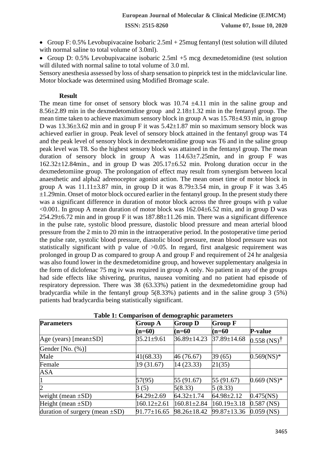**ISSN: 2515-8260 Volume 07, Issue 10, 2020**

 Group F: 0.5% Levobupivacaine Isobaric 2.5ml + 25mug fentanyl (test solution will diluted with normal saline to total volume of 3.0ml).

 Group D: 0.5% Levobupivacaine isobaric 2.5ml +5 mcg dexmedetomidine (test solution will diluted with normal saline to total volume of 3.0 ml.

Sensory anesthesia assessed by loss of sharp sensation to pinprick test in the midclavicular line. Motor blockade was determined using Modified Bromage scale.

#### **Result**

The mean time for onset of sensory block was 10.74  $\pm$ 4.11 min in the saline group and  $8.56\pm2.89$  min in the dexmedetomidine group and  $2.18\pm1.32$  min in the fentanyl group. The mean time taken to achieve maximum sensory block in group A was 15.78±4.93 min, in group D was 13.36±3.62 min and in group F it was 5.42±1.87 min so maximum sensory block was achieved earlier in group. Peak level of sensory block attained in the fentanyl group was T4 and the peak level of sensory block in dexmedetomidine group was T6 and in the saline group peak level was T8. So the highest sensory block was attained in the fentanyl group. The mean duration of sensory block in group A was  $114.63 \pm 7.25$  min, and in group F was 162.32±12.84min., and in group D was 205.17±6.52 min. Prolong duration occur in the dexmedetomiine group. The prolongation of effect may result from synergism between local anaesthetic and alpha2 adrenoceptor agonist action. The mean onset time of motor block in group A was  $11.11\pm3.87$  min, in group D it was  $8.79\pm3.54$  min, in group F it was  $3.45$  $\pm 1.29$ min. Onset of motor block occured earlier in the fentanyl group. In the present study there was a significant difference in duration of motor block across the three groups with p value  $\leq 0.001$ . In group A mean duration of motor block was 162.04 $\pm$ 6.52 min, and in group D was  $254.29\pm6.72$  min and in group F it was  $187.88\pm11.26$  min. There was a significant difference in the pulse rate, systolic blood pressure, diastolic blood pressure and mean arterial blood pressure from the 2 min to 20 min in the intraoperative period. In the postoperative time period the pulse rate, systolic blood pressure, diastolic blood pressure, mean blood pressure was not statistically significant with p value of >0.05. In regard, first analgesic requirement was prolonged in group D as compared to group A and group F and requirement of 24 hr analgesia was also found lower in the dexmedetomidine group, and however supplementary analgesia in the form of diclofenac 75 mg iv was required in group A only. No patient in any of the groups had side effects like shivering, pruritus, nausea vomiting and no patient had episode of respiratory depression. There was 38 (63.33%) patient in the dexmedetomidine group had bradycardia while in the fentanyl group 5(8.33%) patients and in the saline group 3 (5%) patients had bradycardia being statistically significant.

| <b>Parameters</b>                    | Table 1: Comparison or achieveraphic parameters<br><b>Group A</b> | <b>Group D</b>    | <b>Group F</b>    |                           |
|--------------------------------------|-------------------------------------------------------------------|-------------------|-------------------|---------------------------|
|                                      |                                                                   |                   |                   |                           |
|                                      | $(n=60)$                                                          | $(n=60)$          | $(n=60)$          | <b>P-value</b>            |
| Age (years) [mean $\pm$ SD]          | $35.21 \pm 9.61$                                                  | $36.89 \pm 14.23$ | 37.89±14.68       | $0.558$ (NS) <sup>†</sup> |
| Gender [No. $(\%)$ ]                 |                                                                   |                   |                   |                           |
| Male                                 | 41(68.33)                                                         | 46 (76.67)        | 39 (65)           | $0.569$ (NS)*             |
| Female                               | 19 (31.67)                                                        | 14(23.33)         | 21(35)            |                           |
| ASA                                  |                                                                   |                   |                   |                           |
|                                      | 57(95)                                                            | 55 (91.67)        | 55 (91.67)        | $0.669$ (NS)*             |
| $\overline{2}$                       | 3(5)                                                              | 5(8.33)           | 5(8.33)           |                           |
| weight (mean $\pm SD$ )              | $64.29 \pm 2.69$                                                  | $64.32 \pm 1.74$  | $64.98 \pm 2.12$  | $0.475$ (NS)              |
| Height (mean $\pm SD$ )              | $160.12 \pm 2.61$                                                 | $160.81 \pm 2.84$ | $160.19 \pm 3.18$ | $0.587$ (NS)              |
| duration of surgery (mean $\pm SD$ ) | $91.77 \pm 16.65$                                                 | 98.26±18.42       | 99.87±13.36       | $0.059$ (NS)              |

#### **Table 1: Comparison of demographic parameters**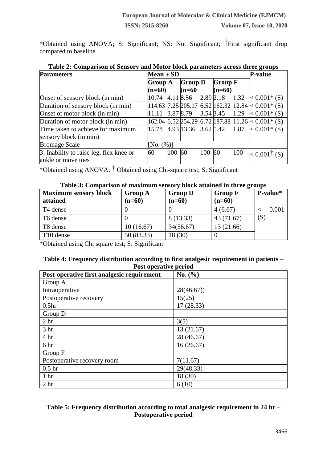\*Obtained using ANOVA; S: Significant; NS: Not Significant; ‡First significant drop compared to baseline

| <b>Parameters</b>                       | Mean $\pm$ SD |           |                                         |              | <b>P-value</b> |      |                                                          |
|-----------------------------------------|---------------|-----------|-----------------------------------------|--------------|----------------|------|----------------------------------------------------------|
|                                         | Group A       |           | <b>Group D</b>                          |              | <b>Group F</b> |      |                                                          |
|                                         | $(n=60)$      |           | $(n=60)$                                |              | $(n=60)$       |      |                                                          |
| Onset of sensory block (in min)         | 10.74         |           | 4.11 8.56                               | $2.89\,2.18$ |                |      | $1.32 \le 0.001^*$ (S)                                   |
| Duration of sensory block (in min)      |               |           |                                         |              |                |      | $114.63$ 7.25 205.17 6.52 162.32 12.84 $\lt 0.001^*$ (S) |
| Onset of motor block (in min)           |               | 3.87 8.79 |                                         | $3.54\,3.45$ |                | 1.29 | $< 0.001$ * (S)                                          |
| Duration of motor block (in min)        |               |           |                                         |              |                |      | 162.04 6.52 254.29 6.72 187.88 11.26 $\times$ 0.001* (S) |
| Time taken to achieve for maximum       | 15.78         |           | $[4.93 \,   13.36 \,   3.62 \,   5.42]$ |              |                | 1.87 | $< 0.001$ * (S)                                          |
| sensory block (in min)                  |               |           |                                         |              |                |      |                                                          |
| <b>Bromage Scale</b>                    | [No. (%)]     |           |                                         |              |                |      |                                                          |
| 3: Inability to raise leg, flex knee or | 60            | 100       | 60                                      | 100          | 60             | 100  | $< 0.001^{\dagger}$ (S)                                  |
| ankle or move toes                      |               |           |                                         |              |                |      |                                                          |

\*Obtained using ANOVA; † Obtained using Chi-square test; S: Significant

## **Table 3: Comparison of maximum sensory block attained in three groups**

| <b>Maximum sensory block</b><br>attained | <b>Group A</b><br>$(n=60)$ | <b>Group D</b><br>$(n=60)$ | <b>Group F</b><br>$(n=60)$ | P-value* |
|------------------------------------------|----------------------------|----------------------------|----------------------------|----------|
| T4 dense                                 |                            |                            | 4(6.67)                    | 0.001    |
| T6 dense                                 |                            | 8 (13.33)                  | 43 (71.67)                 | (S)      |
| T8 dense                                 | 10(16.67)                  | 34(56.67)                  | 13 (21.66)                 |          |
| T10 dense                                | 50(83.33)                  | 18 (30)                    |                            |          |

\*Obtained using Chi square test; S: Significant

## **Table 4: Frequency distribution according to first analgesic requirement in patients – Post operative period**

| Post-operative first analgesic requirement | No. $(\% )$ |
|--------------------------------------------|-------------|
| Group A                                    |             |
| Intraoperative                             | 28(46.67)   |
| Postoperative recovery                     | 15(25)      |
| 0.5 <sub>hr</sub>                          | 17 (28.33)  |
| Group D                                    |             |
| 2 <sub>hr</sub>                            | 3(5)        |
| 3 <sub>hr</sub>                            | 13(21.67)   |
| 4 hr                                       | 28 (46.67)  |
| 6 hr                                       | 16(26.67)   |
| Group F                                    |             |
| Postoperative recovery room                | 7(11.67)    |
| 0.5 <sub>hr</sub>                          | 29(48.33)   |
| 1 <sub>hr</sub>                            | 18 (30)     |
| 2 <sub>hr</sub>                            | 6(10)       |

# **Table 5: Frequency distribution according to total analgesic requirement in 24 hr – Postoperative period**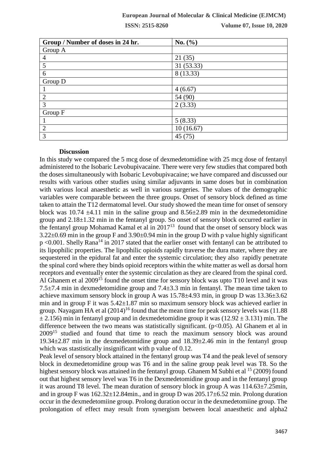### **European Journal of Molecular & Clinical Medicine (EJMCM)**

**ISSN: 2515-8260 Volume 07, Issue 10, 2020**

| Group / Number of doses in 24 hr. | No. $(\% )$ |
|-----------------------------------|-------------|
| Group A                           |             |
| 4                                 | 21(35)      |
| 5                                 | 31(53.33)   |
| 6                                 | 8 (13.33)   |
| Group D                           |             |
|                                   | 4(6.67)     |
| $\overline{2}$                    | 54 (90)     |
| 3                                 | 2(3.33)     |
| Group F                           |             |
|                                   | 5(8.33)     |
| 2                                 | 10(16.67)   |
| 3                                 | 45(75)      |

#### **Discussion**

In this study we compared the 5 mcg dose of dexmedetomidine with 25 mcg dose of fentanyl administered to the Isobaric Levobupivacaine. There were very few studies that compared both the doses simultaneously with Isobaric Levobupivacaine; we have compared and discussed our results with various other studies using similar adjuvants in same doses but in combination with various local anaesthetic as well in various surgeries. The values of the demographic variables were comparable between the three groups. Onset of sensory block defined as time taken to attain the T12 dermatomal level. Our study showed the mean time for onset of sensory block was 10.74  $\pm$ 4.11 min in the saline group and 8.56 $\pm$ 2.89 min in the dexmedetomidine group and 2.18±1.32 min in the fentanyl group. So onset of sensory block occurred earlier in the fentanyl group Mohamad Kamal et al in  $2017<sup>13</sup>$  found that the onset of sensory block was  $3.22\pm0.69$  min in the group F and  $3.90\pm0.94$  min in the group D with p value highly significant  $p$  <0.001. Shelly Rana<sup>14</sup> in 2017 stated that the earlier onset with fentanyl can be attributed to its lipophilic properties. The lipophilic opioids rapidly traverse the dura mater, where they are sequestered in the epidural fat and enter the systemic circulation; they also rapidly penetrate the spinal cord where they binds opioid receptors within the white matter as well as dorsal horn receptors and eventually enter the systemic circulation as they are cleared from the spinal cord. Al Ghanem et al 2009<sup>15</sup> found the onset time for sensory block was upto T10 level and it was 7.5 $\pm$ 7.4 min in dexmedetomidine group and 7.4 $\pm$ 3.3 min in fentanyl. The mean time taken to achieve maximum sensory block in group A was 15.78±4.93 min, in group D was 13.36±3.62 min and in group F it was 5.42±1.87 min so maximum sensory block was achieved earlier in group. Nayagam HA et al  $(2014)^{16}$  found that the mean time for peak sensory levels was (11.88)  $\pm$  2.156) min in fentanyl group and in dexmedetomidine group it was (12.92  $\pm$  3.131) min. The difference between the two means was statistically significant.  $(p<0.05)$ . Al Ghanem et al in  $2009$ <sup>15</sup> studied and found that time to reach the maximum sensory block was around 19.34±2.87 min in the dexmedetomidine group and 18.39±2.46 min in the fentanyl group which was stastistically insignificant with p value of 0.12.

Peak level of sensory block attained in the fentanyl group was T4 and the peak level of sensory block in dexmedetomidine group was T6 and in the saline group peak level was T8. So the highest sensory block was attained in the fentanyl group. Ghanem M Subhi et al <sup>15</sup> (2009) found out that highest sensory level was T6 in the Dexmedetomidine group and in the fentanyl group it was around T8 level. The mean duration of sensory block in group A was  $114.63\pm7.25$ min, and in group F was  $162.32 \pm 12.84$  min., and in group D was  $205.17 \pm 6.52$  min. Prolong duration occur in the dexmedetomiine group. Prolong duration occur in the dexmedetomiine group. The prolongation of effect may result from synergism between local anaesthetic and alpha2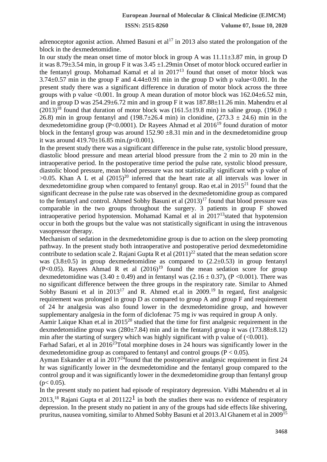adrenoceptor agonist action. Ahmed Basuni et al<sup>17</sup> in 2013 also stated the prolongation of the block in the dexmedetomidine.

In our study the mean onset time of motor block in group A was  $11.11\pm3.87$  min, in group D it was 8.79±3.54 min, in group F it was 3.45 ±1.29min Onset of motor block occured earlier in the fentanyl group. Mohamad Kamal et al in 2017<sup>13</sup> found that onset of motor block was  $3.74\pm0.57$  min in the group F and  $4.44\pm0.91$  min in the group D with p value < 0.001. In the present study there was a significant difference in duration of motor block across the three groups with p value <0.001. In group A mean duration of motor block was  $162.04 \pm 6.52$  min, and in group D was 254.29±6.72 min and in group F it was 187.88±11.26 min. Mahendru et al  $(2013)^{18}$  found that duration of motor block was (161.5±19.8 min) in saline group. (196.0 ± 26.8) min in group fentanyl and (198.7 $\pm$ 26.4 min) in clonidine, (273.3  $\pm$  24.6) min in the dexmedetomidine group (P<0.0001). Dr Rayees Ahmad et al  $2016^{19}$  found duration of motor block in the fentanyl group was around  $152.90 \pm 8.31$  min and in the dexmedetomidine group it was around  $419.70 \pm 16.85$  min.(p<0.001).

In the present study there was a significant difference in the pulse rate, systolic blood pressure, diastolic blood pressure and mean arterial blood pressure from the 2 min to 20 min in the intraoperative period. In the postoperative time period the pulse rate, systolic blood pressure, diastolic blood pressure, mean blood pressure was not statistically significant with p value of  $>0.05$ . Khan A L et al  $(2015)^{20}$  inferred that the heart rate at all intervals was lower in dexmedetomidine group when compared to fentanyl group. Rao et.al in  $2015<sup>21</sup>$  found that the significant decrease in the pulse rate was observed in the dexmedetomidine group as compared to the fentanyl and control. Ahmed Sobhy Basuni et al  $(2013)^{17}$  found that blood pressure was comparable in the two groups throughout the surgery. 3 patients in group F showed intraoperative period hypotension. Mohamad Kamal et al in  $2017<sup>13</sup>$  stated that hypotension occur in both the groups but the value was not statistically significant in using the intravenous vasopressor therapy.

Mechanism of sedation in the dexmedetomidine group is due to action on the sleep promoting pathway. In the present study both intraoperative and postoperative period dexmedetomidine contribute to sedation scale 2. Rajani Gupta R et al  $(2011)^{22}$  stated that the mean sedation score was  $(3.8\pm0.5)$  in group dexmedetomidine as compared to  $(2.2\pm0.53)$  in group fentanyl  $(P<0.05)$ . Rayees Ahmad R et al  $(2016)^{19}$  found the mean sedation score for group dexmedetomidine was  $(3.40 \pm 0.49)$  and in fentanyl was  $(2.16 \pm 0.37)$ ,  $(P < 0.001)$ . There was no significant difference between the three groups in the respiratory rate. Similar to Ahmed Sobhy Basuni et al in  $2013^{17}$  and R. Ahmed et al in  $2009$ <sup>19</sup> In regard, first analgesic requirement was prolonged in group D as compared to group A and group F and requirement of 24 hr analgesia was also found lower in the dexmedetomidine group, and however supplementary analgesia in the form of diclofenac 75 mg iv was required in group A only.

[Aamir Laique Khan e](https://www.ncbi.nlm.nih.gov/pubmed/?term=Khan%20AL%5BAuthor%5D&cauthor=true&cauthor_uid=26417118)t.al in 2015<sup>20</sup> studied that the time for first analgesic requirement in the dexmedetomidine group was  $(280\pm7.84)$  min and in the fentanyl group it was  $(173.88\pm8.12)$ min after the starting of surgery which was highly significant with p value of  $\langle 0.001 \rangle$ .

[Farhad Safari, e](https://www.ncbi.nlm.nih.gov/pubmed/?term=Safari%20F%5BAuthor%5D&cauthor=true&cauthor_uid=27110524)t al in  $2016^{23}$ Total morphine doses in 24 hours was significantly lower in the dexmedetomidine group as compared to fentanyl and control groups ( $P < 0.05$ ).

Ayman Eskander et al in  $2017^{24}$ found that the postoperative analgesic requirement in first 24 hr was significantly lower in the dexmedetomidine and the fentanyl group compared to the control group and it was significantly lower in the dexmedetomidine group than fentanyl group  $(p< 0.05)$ .

In the present study no patient had episode of respiratory depression. Vidhi Mahendru et al in 2013,<sup>18</sup> Rajani Gupta et al 201122<sup>1</sup> in both the studies there was no evidence of respiratory depression. In the present study no patient in any of the groups had side effects like shivering, pruritus, nausea vomiting, similar to Ahmed Sobhy Basuni et al 2013.Al Ghanem et al in 2009<sup>15</sup>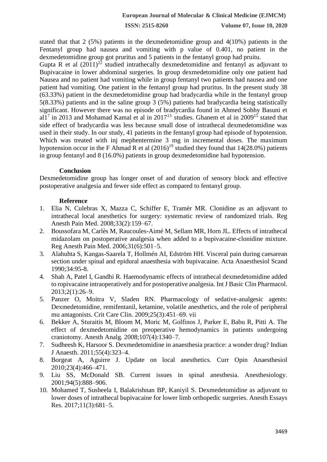stated that that 2  $(5\%)$  patients in the dexmedetomidine group and  $4(10\%)$  patients in the Fentanyl group had nausea and vomiting with p value of 0.401, no patient in the dexmedetomidine group got pruritus and 5 patients in the fentanyl group had pruitu.

Gupta R et al  $(2011)^{22}$  studied intrathecally dexmedetomidine and fentanyl as adjuvant to Bupivacaine in lower abdominal surgeries. In group dexmedetomidine only one patient had Nausea and no patient had vomiting while in group fentanyl two patients had nausea and one patient had vomiting. One patient in the fentanyl group had pruritus. In the present study 38 (63.33%) patient in the dexmedetomidine group had bradycardia while in the fentanyl group 5(8.33%) patients and in the saline group 3 (5%) patients had bradycardia being statistically significant. However there was no episode of bradycardia found in Ahmed Sobhy Basuni et al1<sup>7</sup> in 2013 and Mohamad Kamal et al in 2017<sup>13</sup> studies. Ghanem et al in 2009<sup>15</sup> stated that side effect of bradycardia was less because small dose of intrathecal dexmedetomidine was used in their study. In our study, 41 patients in the fentanyl group had episode of hypotension. Which was treated with inj mephentermine 3 mg in incremental doses. The maximum hypotension occur in the F Ahmad R et al  $(2016)^{19}$  studied they found that 14(28.0%) patients in group fentanyl and 8 (16.0%) patients in group dexmedetomidine had hypotension.

#### **Conclusion**

Dexmedetomidine group has longer onset of and duration of sensory block and effective postoperative analgesia and fewer side effect as compared to fentanyl group.

#### **Reference**

- 1. Elia N, Culebras X, Mazza C, Schiffer E, Tramèr MR. Clonidine as an adjuvant to intrathecal local anesthetics for surgery: systematic review of randomized trials. Reg Anesth Pain Med. 2008;33(2):159–67.
- 2. Boussofara M, Carlès M, Raucoules-Aimé M, Sellam MR, Horn JL. Effects of intrathecal midazolam on postoperative analgesia when added to a bupivacaine-clonidine mixture. Reg Anesth Pain Med. 2006;31(6):501–5.
- 3. Alahuhta S, Kangas-Saarela T, Hollmén AI, Edström HH. Visceral pain during caesarean section under spinal and epidural anaesthesia with bupivacaine. Acta Anaesthesiol Scand 1990;34:95-8.
- 4. Shah A, Patel I, Gandhi R. Haemodynamic effects of intrathecal dexmedetomidine added to ropivacaine intraoperatively and for postoperative analgesia. Int J Basic Clin Pharmacol. 2013;2(1):26–9.
- 5. Panzer O, Moitra V, Sladen RN. Pharmacology of sedative-analgesic agents: Dexmedetomidine, remifentanil, ketamine, volatile anesthetics, and the role of peripheral mu antagonists. Crit Care Clin. 2009;25(3):451–69. vii
- 6. Bekker A, Sturaitis M, Bloom M, Moric M, Golfinos J, Parker E, Babu R, Pitti A. The effect of dexmedetomidine on preoperative hemodynamics in patients undergoing craniotomy. Anesth Analg. 2008;107(4):1340–7.
- 7. Sudheesh K, Harsoor S. Dexmedetomidine in anaesthesia practice: a wonder drug? Indian J Anaesth. 2011;55(4):323–4.
- 8. Borgeat A, Aguirre J. Update on local anesthetics. Curr Opin Anaesthesiol 2010;23(4):466–471.
- 9. Liu SS, McDonald SB. Current issues in spinal anesthesia. Anesthesiology. 2001;94(5):888–906.
- 10. Mohamed T, Susheela I, Balakrishnan BP, Kaniyil S. Dexmedetomidine as adjuvant to lower doses of intrathecal bupivacaine for lower limb orthopedic surgeries. Anesth Essays Res. 2017;11(3):681–5.